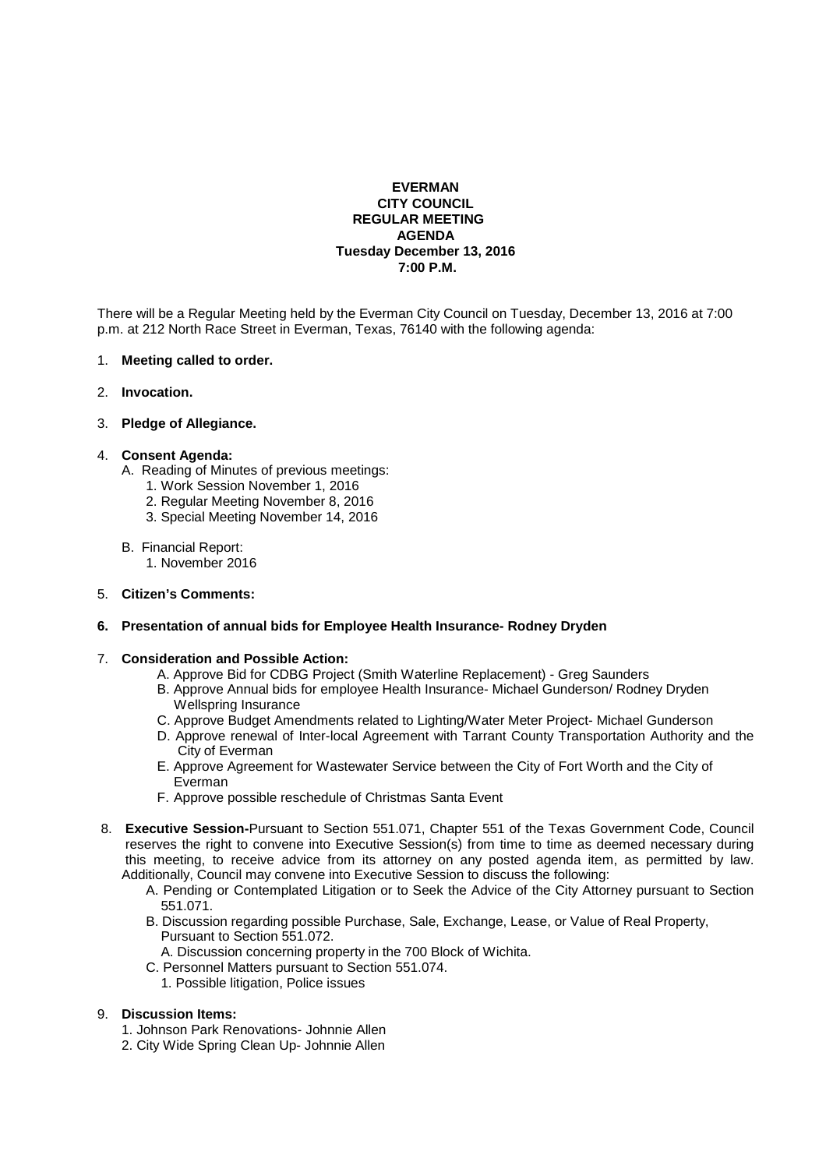# **EVERMAN CITY COUNCIL REGULAR MEETING AGENDA Tuesday December 13, 2016 7:00 P.M.**

There will be a Regular Meeting held by the Everman City Council on Tuesday, December 13, 2016 at 7:00 p.m. at 212 North Race Street in Everman, Texas, 76140 with the following agenda:

### 1. **Meeting called to order.**

2. **Invocation.** 

## 3. **Pledge of Allegiance.**

### 4. **Consent Agenda:**

- A. Reading of Minutes of previous meetings:
	- 1. Work Session November 1, 2016
	- 2. Regular Meeting November 8, 2016
	- 3. Special Meeting November 14, 2016

### B. Financial Report:

1. November 2016

## 5. **Citizen's Comments:**

## **6. Presentation of annual bids for Employee Health Insurance- Rodney Dryden**

## 7. **Consideration and Possible Action:**

- A. Approve Bid for CDBG Project (Smith Waterline Replacement) Greg Saunders
- B. Approve Annual bids for employee Health Insurance- Michael Gunderson/ Rodney Dryden Wellspring Insurance
- C. Approve Budget Amendments related to Lighting/Water Meter Project- Michael Gunderson
- D. Approve renewal of Inter-local Agreement with Tarrant County Transportation Authority and the City of Everman
- E. Approve Agreement for Wastewater Service between the City of Fort Worth and the City of Everman
- F. Approve possible reschedule of Christmas Santa Event
- 8. **Executive Session-**Pursuant to Section 551.071, Chapter 551 of the Texas Government Code, Council reserves the right to convene into Executive Session(s) from time to time as deemed necessary during this meeting, to receive advice from its attorney on any posted agenda item, as permitted by law. Additionally, Council may convene into Executive Session to discuss the following:
	- A. Pending or Contemplated Litigation or to Seek the Advice of the City Attorney pursuant to Section 551.071.
	- B. Discussion regarding possible Purchase, Sale, Exchange, Lease, or Value of Real Property, Pursuant to Section 551.072.
	- A. Discussion concerning property in the 700 Block of Wichita.
	- C. Personnel Matters pursuant to Section 551.074.
		- 1. Possible litigation, Police issues

#### 9. **Discussion Items:**

- 1. Johnson Park Renovations- Johnnie Allen
- 2. City Wide Spring Clean Up- Johnnie Allen